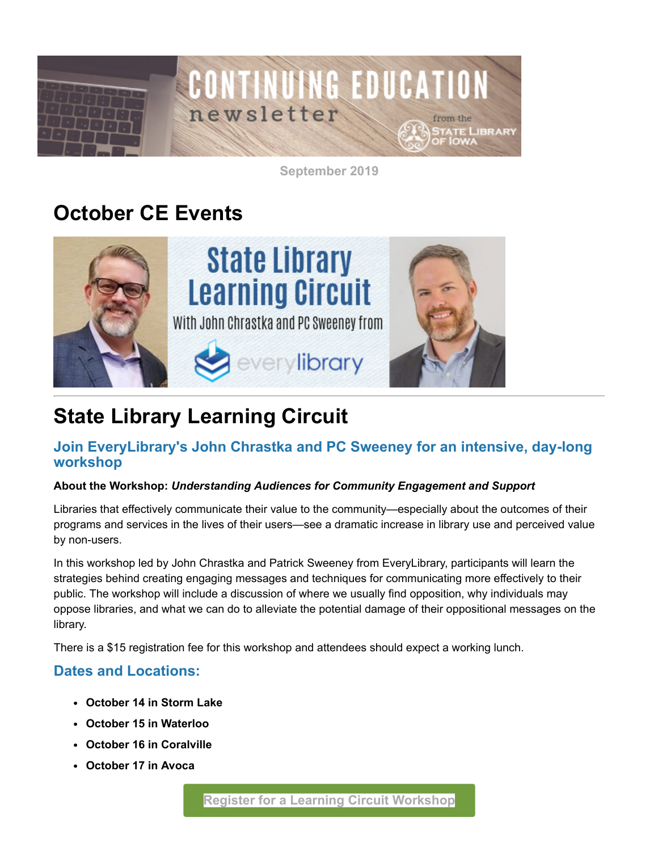

**September 2019**

## **October CE Events**



# **State Library Learning Circuit**

### **Join EveryLibrary's John Chrastka and PC Sweeney for an intensive, day-long workshop**

#### **About the Workshop:** *Understanding Audiences for Community Engagement and Support*

Libraries that effectively communicate their value to the community—especially about the outcomes of their programs and services in the lives of their users—see a dramatic increase in library use and perceived value by non-users.

In this workshop led by John Chrastka and Patrick Sweeney from EveryLibrary, participants will learn the strategies behind creating engaging messages and techniques for communicating more effectively to their public. The workshop will include a discussion of where we usually find opposition, why individuals may oppose libraries, and what we can do to alleviate the potential damage of their oppositional messages on the library.

There is a \$15 registration fee for this workshop and attendees should expect a working lunch.

### **Dates and Locations:**

- **October 14 in Storm Lake**
- **October 15 in Waterloo**
- **October 16 in Coralville**
- **October 17 in Avoca**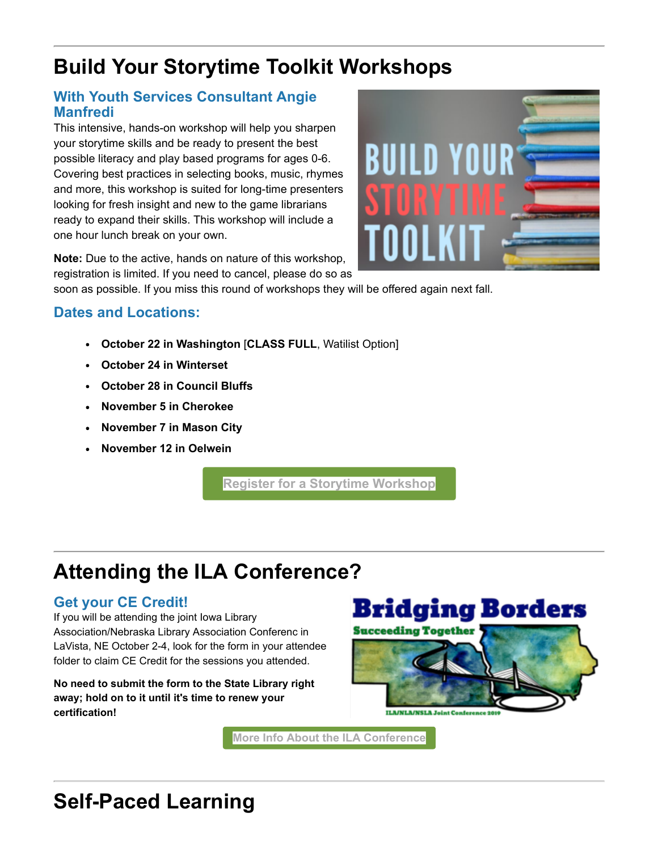# **Build Your Storytime Toolkit Workshops**

### **With Youth Services Consultant Angie Manfredi**

This intensive, hands-on workshop will help you sharpen your storytime skills and be ready to present the best possible literacy and play based programs for ages 0-6. Covering best practices in selecting books, music, rhymes and more, this workshop is suited for long-time presenters looking for fresh insight and new to the game librarians ready to expand their skills. This workshop will include a one hour lunch break on your own.



**Note:** Due to the active, hands on nature of this workshop, registration is limited. If you need to cancel, please do so as

soon as possible. If you miss this round of workshops they will be offered again next fall.

## **Dates and Locations:**

- **October 22 in Washington** [**CLASS FULL**, Watilist Option]
- **October 24 in Winterset**
- **October 28 in Council Bluffs**
- **November 5 in Cherokee**
- **November 7 in Mason City**
- **November 12 in Oelwein**

**[Register for a Storytime Workshop](https://statelibraryofiowa.lmscheckout.com/Course/index?tags=Programming%7Cyouth+services&utm_medium=email&utm_source=govdelivery)**

# **Attending the ILA Conference?**

## **Get your CE Credit!**

If you will be attending the joint Iowa Library Association/Nebraska Library Association Conferenc in LaVista, NE October 2-4, look for the form in your attendee folder to claim CE Credit for the sessions you attended.

**No need to submit the form to the State Library right away; hold on to it until it's time to renew your certification!** 



**[More Info About the ILA Conference](https://www.iowalibraryassociation.org/index.php/conference?utm_medium=email&utm_source=govdelivery)**

# **Self-Paced Learning**